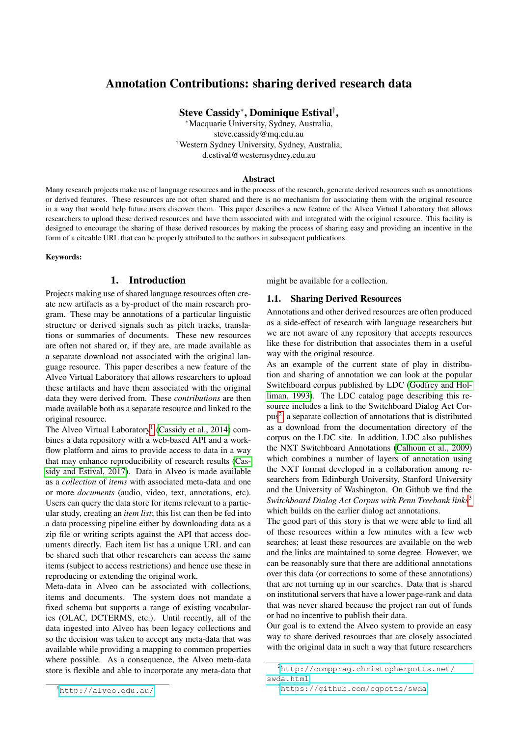# Annotation Contributions: sharing derived research data

# Steve Cassidy<sup>∗</sup> , Dominique Estival† ,

<sup>∗</sup>Macquarie University, Sydney, Australia, steve.cassidy@mq.edu.au †Western Sydney University, Sydney, Australia, d.estival@westernsydney.edu.au

#### Abstract

Many research projects make use of language resources and in the process of the research, generate derived resources such as annotations or derived features. These resources are not often shared and there is no mechanism for associating them with the original resource in a way that would help future users discover them. This paper describes a new feature of the Alveo Virtual Laboratory that allows researchers to upload these derived resources and have them associated with and integrated with the original resource. This facility is designed to encourage the sharing of these derived resources by making the process of sharing easy and providing an incentive in the form of a citeable URL that can be properly attributed to the authors in subsequent publications.

#### Keywords:

#### 1. Introduction

Projects making use of shared language resources often create new artifacts as a by-product of the main research program. These may be annotations of a particular linguistic structure or derived signals such as pitch tracks, translations or summaries of documents. These new resources are often not shared or, if they are, are made available as a separate download not associated with the original language resource. This paper describes a new feature of the Alveo Virtual Laboratory that allows researchers to upload these artifacts and have them associated with the original data they were derived from. These *contributions* are then made available both as a separate resource and linked to the original resource.

The Alveo Virtual Laboratory<sup>[1](#page-0-0)</sup> [\(Cassidy et al., 2014\)](#page-3-0) combines a data repository with a web-based API and a workflow platform and aims to provide access to data in a way that may enhance reproducibility of research results [\(Cas](#page-3-1)[sidy and Estival, 2017\)](#page-3-1). Data in Alveo is made available as a *collection* of *items* with associated meta-data and one or more *documents* (audio, video, text, annotations, etc). Users can query the data store for items relevant to a particular study, creating an *item list*; this list can then be fed into a data processing pipeline either by downloading data as a zip file or writing scripts against the API that access documents directly. Each item list has a unique URL and can be shared such that other researchers can access the same items (subject to access restrictions) and hence use these in reproducing or extending the original work.

Meta-data in Alveo can be associated with collections, items and documents. The system does not mandate a fixed schema but supports a range of existing vocabularies (OLAC, DCTERMS, etc.). Until recently, all of the data ingested into Alveo has been legacy collections and so the decision was taken to accept any meta-data that was available while providing a mapping to common properties where possible. As a consequence, the Alveo meta-data store is flexible and able to incorporate any meta-data that

might be available for a collection.

#### 1.1. Sharing Derived Resources

Annotations and other derived resources are often produced as a side-effect of research with language researchers but we are not aware of any repository that accepts resources like these for distribution that associates them in a useful way with the original resource.

As an example of the current state of play in distribution and sharing of annotation we can look at the popular Switchboard corpus published by LDC [\(Godfrey and Hol](#page-3-2)[liman, 1993\)](#page-3-2). The LDC catalog page describing this resource includes a link to the Switchboard Dialog Act Corpus[2](#page-0-1) , a separate collection of annotations that is distributed as a download from the documentation directory of the corpus on the LDC site. In addition, LDC also publishes the NXT Switchboard Annotations [\(Calhoun et al., 2009\)](#page-3-3) which combines a number of layers of annotation using the NXT format developed in a collaboration among researchers from Edinburgh University, Stanford University and the University of Washington. On Github we find the *Switchboard Dialog Act Corpus with Penn Treebank links*[3](#page-0-2) which builds on the earlier dialog act annotations.

The good part of this story is that we were able to find all of these resources within a few minutes with a few web searches; at least these resources are available on the web and the links are maintained to some degree. However, we can be reasonably sure that there are additional annotations over this data (or corrections to some of these annotations) that are not turning up in our searches. Data that is shared on institutional servers that have a lower page-rank and data that was never shared because the project ran out of funds or had no incentive to publish their data.

Our goal is to extend the Alveo system to provide an easy way to share derived resources that are closely associated with the original data in such a way that future researchers

<span id="page-0-1"></span><sup>2</sup>[http://compprag.christopherpotts.net/](http://compprag.christopherpotts.net/swda.html) [swda.html](http://compprag.christopherpotts.net/swda.html)

<span id="page-0-0"></span><sup>1</sup><http://alveo.edu.au/>

<span id="page-0-2"></span><sup>3</sup><https://github.com/cgpotts/swda>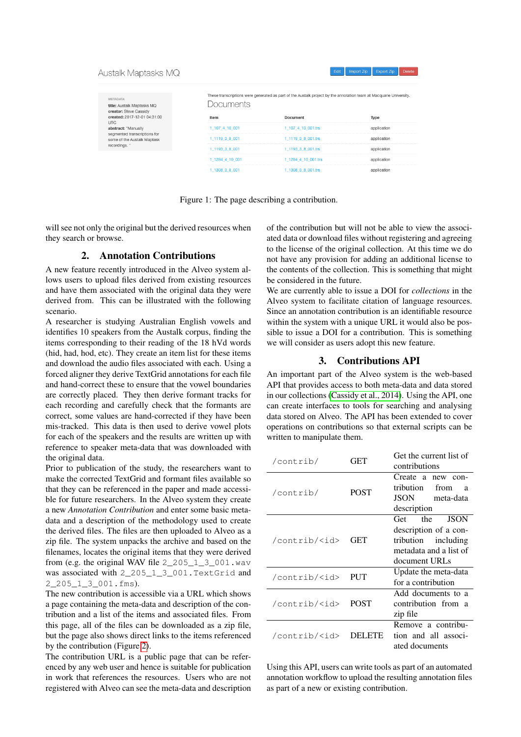#### Austalk Maptasks MQ



METADATA title: Austalk Maptasks MQ creator: Steve Cassidy created: 2017-12-01 04:31:00 **UTC** abstract: "Manually segmented transcriptions for segmented transcriptions<br>some of the Austalk Mapta<br>recordings. "

These transcriptions were generated as part of the Austalk project by the annotation team at Macquarie University Documents

| Item            | Document            | Type        |
|-----------------|---------------------|-------------|
| 1 107 4 10 001  | 1_107_4_10_001.trs  |             |
| 1_1119 3 8 001  | 1_1119 3 8 001.trs  | application |
| 1_1193 3 8 001  | 1_1193 3 8 001.trs  |             |
| 1_1284_4_10_001 | 1_1284_4_10_001.trs |             |
| 1 1308 3 8 001  | 1_1308_3_8_001.trs  |             |

Figure 1: The page describing a contribution.

will see not only the original but the derived resources when they search or browse.

## 2. Annotation Contributions

A new feature recently introduced in the Alveo system allows users to upload files derived from existing resources and have them associated with the original data they were derived from. This can be illustrated with the following scenario.

A researcher is studying Australian English vowels and identifies 10 speakers from the Austalk corpus, finding the items corresponding to their reading of the 18 hVd words (hid, had, hod, etc). They create an item list for these items and download the audio files associated with each. Using a forced aligner they derive TextGrid annotations for each file and hand-correct these to ensure that the vowel boundaries are correctly placed. They then derive formant tracks for each recording and carefully check that the formants are correct, some values are hand-corrected if they have been mis-tracked. This data is then used to derive vowel plots for each of the speakers and the results are written up with reference to speaker meta-data that was downloaded with the original data.

Prior to publication of the study, the researchers want to make the corrected TextGrid and formant files available so that they can be referenced in the paper and made accessible for future researchers. In the Alveo system they create a new *Annotation Contribution* and enter some basic metadata and a description of the methodology used to create the derived files. The files are then uploaded to Alveo as a zip file. The system unpacks the archive and based on the filenames, locates the original items that they were derived from (e.g. the original WAV file  $2, 205, 1, 3, 001$ .wav was associated with 2\_205\_1\_3\_001.TextGrid and 2\_205\_1\_3\_001.fms).

The new contribution is accessible via a URL which shows a page containing the meta-data and description of the contribution and a list of the items and associated files. From this page, all of the files can be downloaded as a zip file, but the page also shows direct links to the items referenced by the contribution (Figure [2\)](#page-2-0).

The contribution URL is a public page that can be referenced by any web user and hence is suitable for publication in work that references the resources. Users who are not registered with Alveo can see the meta-data and description of the contribution but will not be able to view the associated data or download files without registering and agreeing to the license of the original collection. At this time we do not have any provision for adding an additional license to the contents of the collection. This is something that might be considered in the future.

We are currently able to issue a DOI for *collections* in the Alveo system to facilitate citation of language resources. Since an annotation contribution is an identifiable resource within the system with a unique URL it would also be possible to issue a DOI for a contribution. This is something we will consider as users adopt this new feature.

#### 3. Contributions API

An important part of the Alveo system is the web-based API that provides access to both meta-data and data stored in our collections [\(Cassidy et al., 2014\)](#page-3-0). Using the API, one can create interfaces to tools for searching and analysing data stored on Alveo. The API has been extended to cover operations on contributions so that external scripts can be written to manipulate them.

| /contrib/           | GET         | Get the current list of<br>contributions                                                                             |  |  |
|---------------------|-------------|----------------------------------------------------------------------------------------------------------------------|--|--|
| /contrib/           | <b>POST</b> | Create a new con-<br>tribution.<br>from<br>a<br>JSON –<br>meta-data<br>description                                   |  |  |
| /contrib/ <id></id> | GET         | <b>JSON</b><br>Get<br>the<br>description of a con-<br>tribution including<br>metadata and a list of<br>document URLs |  |  |
| /contrib/ <id></id> | PUT         | Update the meta-data<br>for a contribution                                                                           |  |  |
| /contrib/ <id></id> | <b>POST</b> | Add documents to a<br>contribution from<br>a<br>zip file                                                             |  |  |
| /contrib/ <id></id> | DELETE      | Remove a contribu-<br>tion and all associ-<br>ated documents                                                         |  |  |

Using this API, users can write tools as part of an automated annotation workflow to upload the resulting annotation files as part of a new or existing contribution.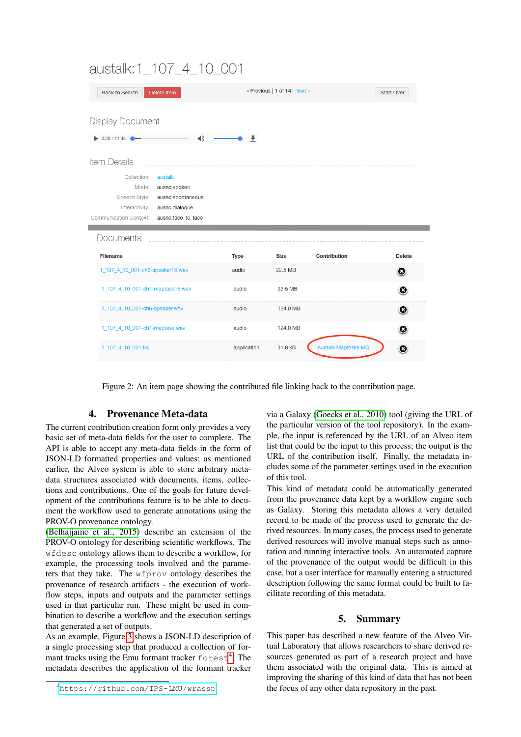# austalk:1\_107\_4\_10\_001

| Back to Search                   | Delete Item                         |       | « Previous   1 of 14   Next » |              | Start Over    |
|----------------------------------|-------------------------------------|-------|-------------------------------|--------------|---------------|
| <b>Display Document</b>          |                                     |       |                               |              |               |
| $\bullet$ 0:00 / 11:43           | ⊣⊅                                  |       |                               |              |               |
| Item Details                     |                                     |       |                               |              |               |
| Collection:                      | austalk                             |       |                               |              |               |
| Mode:                            | ausnc:spoken                        |       |                               |              |               |
| Speech Style:<br>Interactivity:  | ausnc:spontaneous<br>ausnc:dialogue |       |                               |              |               |
| Communication Context:           |                                     |       |                               |              |               |
|                                  | ausnc:face_to_face                  |       |                               |              |               |
|                                  |                                     |       |                               |              |               |
| Documents<br>Filename            |                                     | Type  | Size                          | Contribution | <b>Delete</b> |
| 1_107_4_10_001-ch6-speaker16.wav |                                     | audio | 22.5 MB                       |              | O             |
| 1_107_4_10_001-ch1-maptask16.wav |                                     | audio | 22.5 MB                       |              | O             |
| 1_107_4_10_001-ch6-speaker.wav   |                                     | audio | 124.0 MB                      |              | O             |
| 1_107_4_10_001-ch1-maptask.wav   |                                     | audio | 124.0 MB                      |              | O             |

<span id="page-2-0"></span>Figure 2: An item page showing the contributed file linking back to the contribution page.

# 4. Provenance Meta-data

The current contribution creation form only provides a very basic set of meta-data fields for the user to complete. The API is able to accept any meta-data fields in the form of JSON-LD formatted properties and values; as mentioned earlier, the Alveo system is able to store arbitrary metadata structures associated with documents, items, collections and contributions. One of the goals for future development of the contributions feature is to be able to document the workflow used to generate annotations using the PROV-O provenance ontology.

[\(Belhajjame et al., 2015\)](#page-3-4) describe an extension of the PROV-O ontology for describing scientific workflows. The wfdesc ontology allows them to describe a workflow, for example, the processing tools involved and the parameters that they take. The wfprov ontology describes the provenance of research artifacts - the execution of workflow steps, inputs and outputs and the parameter settings used in that particular run. These might be used in combination to describe a workflow and the execution settings that generated a set of outputs.

As an example, Figure [3](#page-3-5) shows a JSON-LD description of a single processing step that produced a collection of formant tracks using the Emu formant tracker  $f$ o $rest<sup>4</sup>$  $rest<sup>4</sup>$  $rest<sup>4</sup>$ . The metadata describes the application of the formant tracker via a Galaxy [\(Goecks et al., 2010\)](#page-3-6) tool (giving the URL of the particular version of the tool repository). In the example, the input is referenced by the URL of an Alveo item list that could be the input to this process; the output is the URL of the contribution itself. Finally, the metadata includes some of the parameter settings used in the execution of this tool.

This kind of metadata could be automatically generated from the provenance data kept by a workflow engine such as Galaxy. Storing this metadata allows a very detailed record to be made of the process used to generate the derived resources. In many cases, the process used to generate derived resources will involve manual steps such as annotation and running interactive tools. An automated capture of the provenance of the output would be difficult in this case, but a user interface for manually entering a structured description following the same format could be built to facilitate recording of this metadata.

## 5. Summary

This paper has described a new feature of the Alveo Virtual Laboratory that allows researchers to share derived resources generated as part of a research project and have them associated with the original data. This is aimed at improving the sharing of this kind of data that has not been the focus of any other data repository in the past.

<span id="page-2-1"></span><sup>4</sup><https://github.com/IPS-LMU/wrassp>